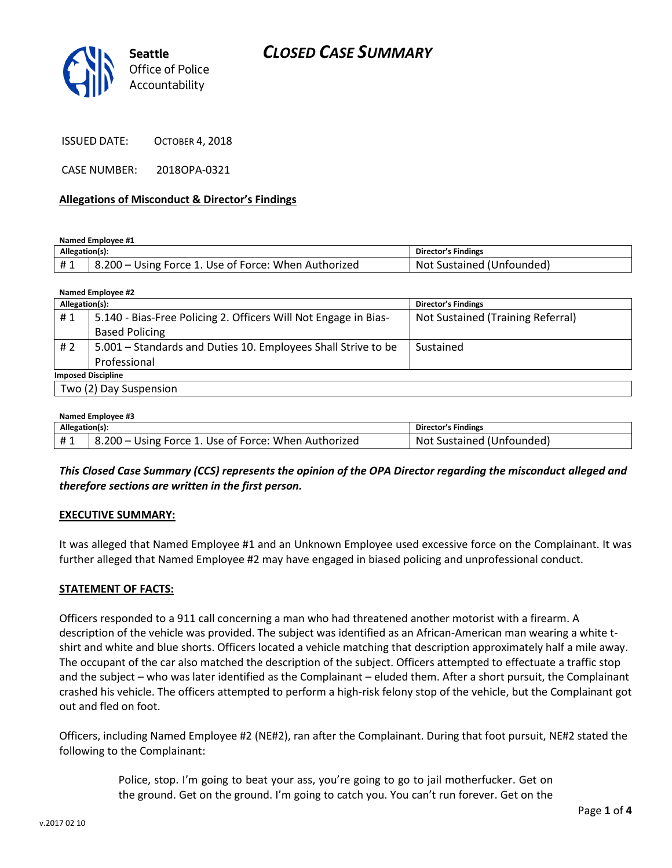# *CLOSED CASE SUMMARY*



ISSUED DATE: OCTOBER 4, 2018

CASE NUMBER: 2018OPA-0321

#### **Allegations of Misconduct & Director's Findings**

**Named Employee #1**

| Allegation(s): |                                                      | Director's Findings       |
|----------------|------------------------------------------------------|---------------------------|
|                | 8.200 – Using Force 1. Use of Force: When Authorized | Not Sustained (Unfounded) |

| Named Employee #2         |                                                                 |                                   |  |  |
|---------------------------|-----------------------------------------------------------------|-----------------------------------|--|--|
| Allegation(s):            |                                                                 | <b>Director's Findings</b>        |  |  |
| #1                        | 5.140 - Bias-Free Policing 2. Officers Will Not Engage in Bias- | Not Sustained (Training Referral) |  |  |
|                           | <b>Based Policing</b>                                           |                                   |  |  |
| #2                        | 5.001 – Standards and Duties 10. Employees Shall Strive to be   | Sustained                         |  |  |
|                           | Professional                                                    |                                   |  |  |
| <b>Imposed Discipline</b> |                                                                 |                                   |  |  |
| Two (2) Day Suspension    |                                                                 |                                   |  |  |
|                           |                                                                 |                                   |  |  |

#### **Named Employee #3**

| Allegation(s): |                                                      | <b>Director's Findings</b>   |
|----------------|------------------------------------------------------|------------------------------|
|                | 8.200 – Using Force 1. Use of Force: When Authorized | Not<br>Sustained (Unfounded) |

*This Closed Case Summary (CCS) represents the opinion of the OPA Director regarding the misconduct alleged and therefore sections are written in the first person.* 

#### **EXECUTIVE SUMMARY:**

It was alleged that Named Employee #1 and an Unknown Employee used excessive force on the Complainant. It was further alleged that Named Employee #2 may have engaged in biased policing and unprofessional conduct.

#### **STATEMENT OF FACTS:**

Officers responded to a 911 call concerning a man who had threatened another motorist with a firearm. A description of the vehicle was provided. The subject was identified as an African-American man wearing a white tshirt and white and blue shorts. Officers located a vehicle matching that description approximately half a mile away. The occupant of the car also matched the description of the subject. Officers attempted to effectuate a traffic stop and the subject – who was later identified as the Complainant – eluded them. After a short pursuit, the Complainant crashed his vehicle. The officers attempted to perform a high-risk felony stop of the vehicle, but the Complainant got out and fled on foot.

Officers, including Named Employee #2 (NE#2), ran after the Complainant. During that foot pursuit, NE#2 stated the following to the Complainant:

> Police, stop. I'm going to beat your ass, you're going to go to jail motherfucker. Get on the ground. Get on the ground. I'm going to catch you. You can't run forever. Get on the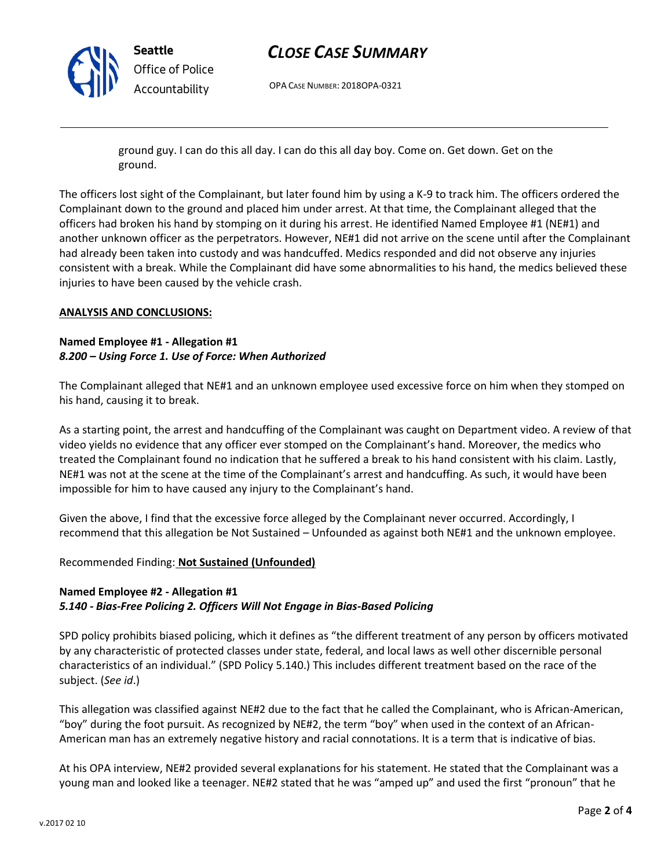

## *CLOSE CASE SUMMARY*

OPA CASE NUMBER: 2018OPA-0321

ground guy. I can do this all day. I can do this all day boy. Come on. Get down. Get on the ground.

The officers lost sight of the Complainant, but later found him by using a K-9 to track him. The officers ordered the Complainant down to the ground and placed him under arrest. At that time, the Complainant alleged that the officers had broken his hand by stomping on it during his arrest. He identified Named Employee #1 (NE#1) and another unknown officer as the perpetrators. However, NE#1 did not arrive on the scene until after the Complainant had already been taken into custody and was handcuffed. Medics responded and did not observe any injuries consistent with a break. While the Complainant did have some abnormalities to his hand, the medics believed these injuries to have been caused by the vehicle crash.

#### **ANALYSIS AND CONCLUSIONS:**

### **Named Employee #1 - Allegation #1** *8.200 – Using Force 1. Use of Force: When Authorized*

The Complainant alleged that NE#1 and an unknown employee used excessive force on him when they stomped on his hand, causing it to break.

As a starting point, the arrest and handcuffing of the Complainant was caught on Department video. A review of that video yields no evidence that any officer ever stomped on the Complainant's hand. Moreover, the medics who treated the Complainant found no indication that he suffered a break to his hand consistent with his claim. Lastly, NE#1 was not at the scene at the time of the Complainant's arrest and handcuffing. As such, it would have been impossible for him to have caused any injury to the Complainant's hand.

Given the above, I find that the excessive force alleged by the Complainant never occurred. Accordingly, I recommend that this allegation be Not Sustained – Unfounded as against both NE#1 and the unknown employee.

### Recommended Finding: **Not Sustained (Unfounded)**

### **Named Employee #2 - Allegation #1** *5.140 - Bias-Free Policing 2. Officers Will Not Engage in Bias-Based Policing*

SPD policy prohibits biased policing, which it defines as "the different treatment of any person by officers motivated by any characteristic of protected classes under state, federal, and local laws as well other discernible personal characteristics of an individual." (SPD Policy 5.140.) This includes different treatment based on the race of the subject. (*See id*.)

This allegation was classified against NE#2 due to the fact that he called the Complainant, who is African-American, "boy" during the foot pursuit. As recognized by NE#2, the term "boy" when used in the context of an African-American man has an extremely negative history and racial connotations. It is a term that is indicative of bias.

At his OPA interview, NE#2 provided several explanations for his statement. He stated that the Complainant was a young man and looked like a teenager. NE#2 stated that he was "amped up" and used the first "pronoun" that he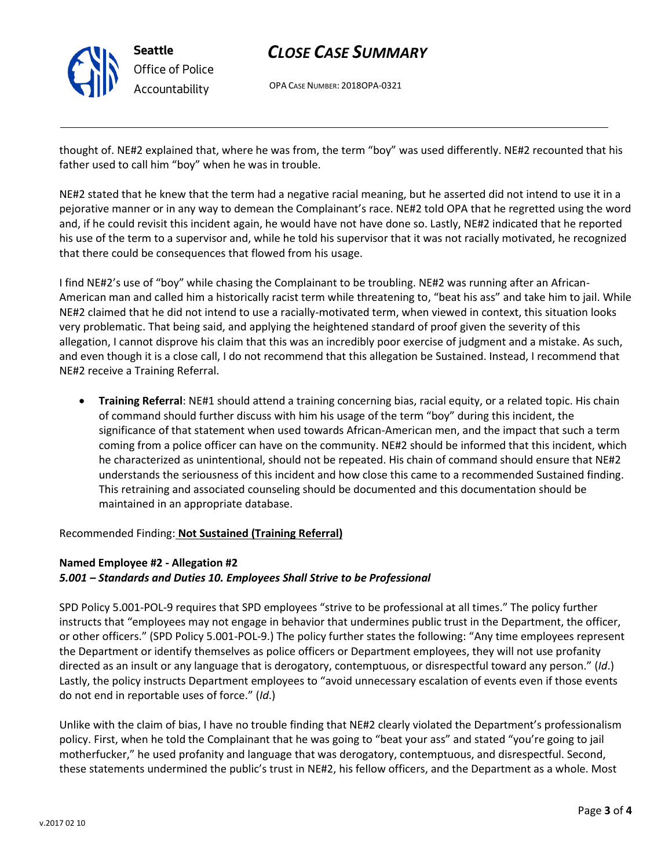

# *CLOSE CASE SUMMARY*

OPA CASE NUMBER: 2018OPA-0321

thought of. NE#2 explained that, where he was from, the term "boy" was used differently. NE#2 recounted that his father used to call him "boy" when he was in trouble.

NE#2 stated that he knew that the term had a negative racial meaning, but he asserted did not intend to use it in a pejorative manner or in any way to demean the Complainant's race. NE#2 told OPA that he regretted using the word and, if he could revisit this incident again, he would have not have done so. Lastly, NE#2 indicated that he reported his use of the term to a supervisor and, while he told his supervisor that it was not racially motivated, he recognized that there could be consequences that flowed from his usage.

I find NE#2's use of "boy" while chasing the Complainant to be troubling. NE#2 was running after an African-American man and called him a historically racist term while threatening to, "beat his ass" and take him to jail. While NE#2 claimed that he did not intend to use a racially-motivated term, when viewed in context, this situation looks very problematic. That being said, and applying the heightened standard of proof given the severity of this allegation, I cannot disprove his claim that this was an incredibly poor exercise of judgment and a mistake. As such, and even though it is a close call, I do not recommend that this allegation be Sustained. Instead, I recommend that NE#2 receive a Training Referral.

• **Training Referral**: NE#1 should attend a training concerning bias, racial equity, or a related topic. His chain of command should further discuss with him his usage of the term "boy" during this incident, the significance of that statement when used towards African-American men, and the impact that such a term coming from a police officer can have on the community. NE#2 should be informed that this incident, which he characterized as unintentional, should not be repeated. His chain of command should ensure that NE#2 understands the seriousness of this incident and how close this came to a recommended Sustained finding. This retraining and associated counseling should be documented and this documentation should be maintained in an appropriate database.

Recommended Finding: **Not Sustained (Training Referral)**

## **Named Employee #2 - Allegation #2** *5.001 – Standards and Duties 10. Employees Shall Strive to be Professional*

SPD Policy 5.001-POL-9 requires that SPD employees "strive to be professional at all times." The policy further instructs that "employees may not engage in behavior that undermines public trust in the Department, the officer, or other officers." (SPD Policy 5.001-POL-9.) The policy further states the following: "Any time employees represent the Department or identify themselves as police officers or Department employees, they will not use profanity directed as an insult or any language that is derogatory, contemptuous, or disrespectful toward any person." (*Id*.) Lastly, the policy instructs Department employees to "avoid unnecessary escalation of events even if those events do not end in reportable uses of force." (*Id*.)

Unlike with the claim of bias, I have no trouble finding that NE#2 clearly violated the Department's professionalism policy. First, when he told the Complainant that he was going to "beat your ass" and stated "you're going to jail motherfucker," he used profanity and language that was derogatory, contemptuous, and disrespectful. Second, these statements undermined the public's trust in NE#2, his fellow officers, and the Department as a whole. Most